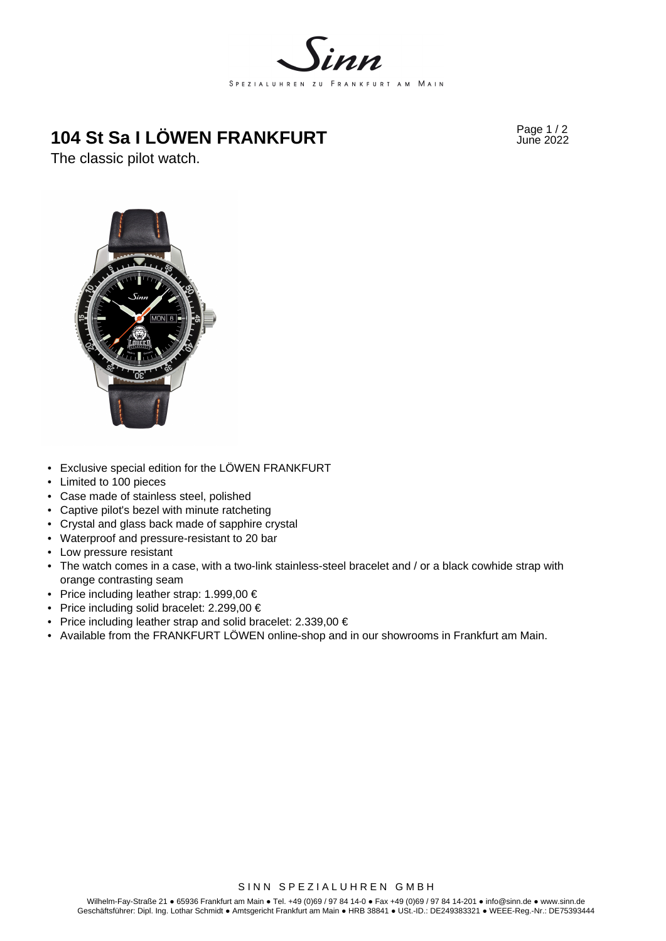

# **104 St Sa I LÖWEN FRANKFURT** Page 1/2<br>
June 2022

The classic pilot watch.



- Exclusive special edition for the LÖWEN FRANKFURT
- Limited to 100 pieces
- Case made of stainless steel, polished
- Captive pilot's bezel with minute ratcheting
- Crystal and glass back made of sapphire crystal
- Waterproof and pressure-resistant to 20 bar
- Low pressure resistant
- The watch comes in a case, with a two-link stainless-steel bracelet and / or a black cowhide strap with orange contrasting seam
- Price including leather strap:  $1.999,00 \in$
- Price including solid bracelet: 2.299,00 €
- Price including leather strap and solid bracelet: 2.339,00 €
- Available from the FRANKFURT LÖWEN online-shop and in our showrooms in Frankfurt am Main.